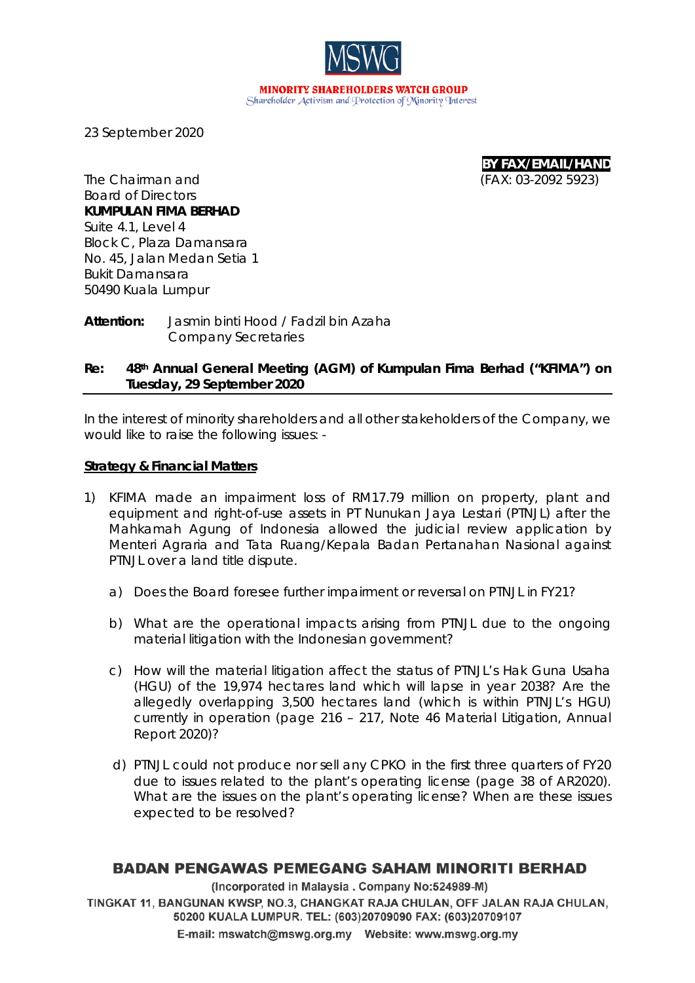**MINORITY SHAREHOLDERS WATCH GROUP** Shareholder Activism and Protection of Minority Interest

23 September 2020

**BY FAX/EMAIL/HAND** The Chairman and (FAX: *03-2092 5923*)

Board of Directors **KUMPULAN FIMA BERHAD** Suite 4.1, Level 4 Block C, Plaza Damansara No. 45, Jalan Medan Setia 1 Bukit Damansara 50490 Kuala Lumpur

**Attention:** Jasmin binti Hood / Fadzil bin Azaha Company Secretaries

### **Re: 48th Annual General Meeting (AGM) of Kumpulan Fima Berhad ("KFIMA") on Tuesday, 29 September 2020**

In the interest of minority shareholders and all other stakeholders of the Company, we would like to raise the following issues: -

#### **Strategy & Financial Matters**

- 1) KFIMA made an impairment loss of RM17.79 million on property, plant and equipment and right-of-use assets in PT Nunukan Jaya Lestari (PTNJL) after the Mahkamah Agung of Indonesia allowed the judicial review application by Menteri Agraria and Tata Ruang/Kepala Badan Pertanahan Nasional against PTNJL over a land title dispute.
	- a) Does the Board foresee further impairment or reversal on PTNJL in FY21?
	- b) What are the operational impacts arising from PTNJL due to the ongoing material litigation with the Indonesian government?
	- c) How will the material litigation affect the status of PTNJL's Hak Guna Usaha (HGU) of the 19,974 hectares land which will lapse in year 2038? Are the allegedly overlapping 3,500 hectares land (which is within PTNJL's HGU) currently in operation (page 216 – 217, Note 46 Material Litigation, Annual Report 2020)?
	- d) PTNJL could not produce nor sell any CPKO in the first three quarters of FY20 due to issues related to the plant's operating license (page 38 of AR2020). What are the issues on the plant's operating license? When are these issues expected to be resolved?

### **BADAN PENGAWAS PEMEGANG SAHAM MINORITI BERHAD**

(Incorporated in Malaysia . Company No:524989-M) TINGKAT 11, BANGUNAN KWSP, NO.3, CHANGKAT RAJA CHULAN, OFF JALAN RAJA CHULAN, 50200 KUALA LUMPUR. TEL: (603)20709090 FAX: (603)20709107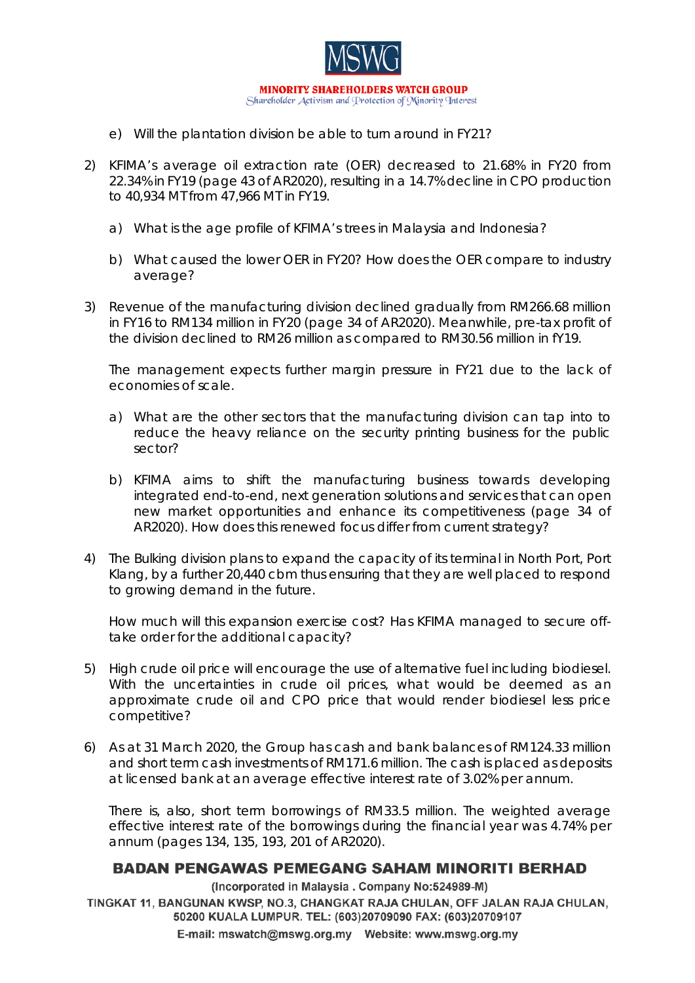

- e) Will the plantation division be able to turn around in FY21?
- 2) KFIMA's average oil extraction rate (OER) decreased to 21.68% in FY20 from 22.34% in FY19 (page 43 of AR2020), resulting in a 14.7% decline in CPO production to 40,934 MT from 47,966 MT in FY19.
	- a) What is the age profile of KFIMA's trees in Malaysia and Indonesia?
	- b) What caused the lower OER in FY20? How does the OER compare to industry average?
- 3) Revenue of the manufacturing division declined gradually from RM266.68 million in FY16 to RM134 million in FY20 (page 34 of AR2020). Meanwhile, pre-tax profit of the division declined to RM26 million as compared to RM30.56 million in fY19.

The management expects further margin pressure in FY21 due to the lack of economies of scale.

- a) What are the other sectors that the manufacturing division can tap into to reduce the heavy reliance on the security printing business for the public sector?
- b) KFIMA aims to shift the manufacturing business towards developing integrated end-to-end, next generation solutions and services that can open new market opportunities and enhance its competitiveness (page 34 of AR2020). How does this renewed focus differ from current strategy?
- 4) The Bulking division plans to expand the capacity of its terminal in North Port, Port Klang, by a further 20,440 cbm thus ensuring that they are well placed to respond to growing demand in the future.

How much will this expansion exercise cost? Has KFIMA managed to secure offtake order for the additional capacity?

- 5) High crude oil price will encourage the use of alternative fuel including biodiesel. With the uncertainties in crude oil prices, what would be deemed as an approximate crude oil and CPO price that would render biodiesel less price competitive?
- 6) As at 31 March 2020, the Group has cash and bank balances of RM124.33 million and short term cash investments of RM171.6 million. The cash is placed as deposits at licensed bank at an average effective interest rate of 3.02% per annum.

There is, also, short term borrowings of RM33.5 million. The weighted average effective interest rate of the borrowings during the financial year was 4.74% per annum (pages 134, 135, 193, 201 of AR2020).

# **BADAN PENGAWAS PEMEGANG SAHAM MINORITI BERHAD**

(Incorporated in Malaysia . Company No:524989-M)

TINGKAT 11, BANGUNAN KWSP, NO.3, CHANGKAT RAJA CHULAN, OFF JALAN RAJA CHULAN, 50200 KUALA LUMPUR. TEL: (603)20709090 FAX: (603)20709107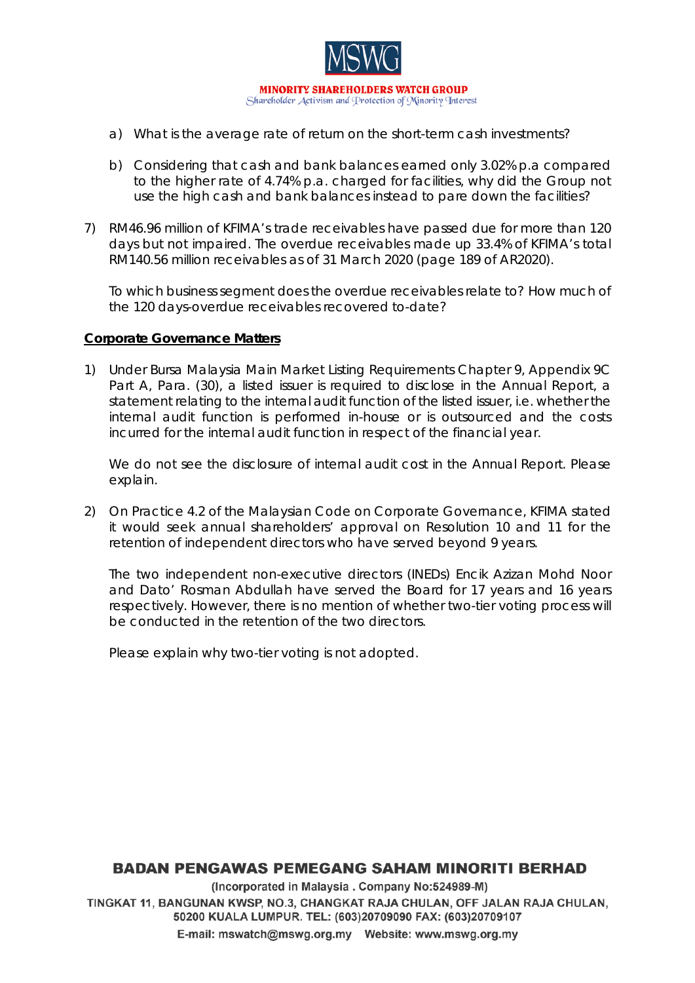

- a) What is the average rate of return on the short-term cash investments?
- b) Considering that cash and bank balances earned only 3.02% p.a compared to the higher rate of 4.74% p.a. charged for facilities, why did the Group not use the high cash and bank balances instead to pare down the facilities?
- 7) RM46.96 million of KFIMA's trade receivables have passed due for more than 120 days but not impaired. The overdue receivables made up 33.4% of KFIMA's total RM140.56 million receivables as of 31 March 2020 (page 189 of AR2020).

To which business segment does the overdue receivables relate to? How much of the 120 days-overdue receivables recovered to-date?

#### **Corporate Governance Matters**

1) Under Bursa Malaysia Main Market Listing Requirements Chapter 9, Appendix 9C Part A, Para. (30), a listed issuer is required to disclose in the Annual Report, a statement relating to the internal audit function of the listed issuer, i.e. whether the internal audit function is performed in-house or is outsourced and the costs incurred for the internal audit function in respect of the financial year.

We do not see the disclosure of internal audit cost in the Annual Report. Please explain.

2) On Practice 4.2 of the Malaysian Code on Corporate Governance, KFIMA stated it would seek annual shareholders' approval on Resolution 10 and 11 for the retention of independent directors who have served beyond 9 years.

The two independent non-executive directors (INEDs) Encik Azizan Mohd Noor and Dato' Rosman Abdullah have served the Board for 17 years and 16 years respectively. However, there is no mention of whether two-tier voting process will be conducted in the retention of the two directors.

Please explain why two-tier voting is not adopted.

# **BADAN PENGAWAS PEMEGANG SAHAM MINORITI BERHAD**

(Incorporated in Malaysia . Company No:524989-M) TINGKAT 11, BANGUNAN KWSP, NO.3, CHANGKAT RAJA CHULAN, OFF JALAN RAJA CHULAN, 50200 KUALA LUMPUR. TEL: (603)20709090 FAX: (603)20709107